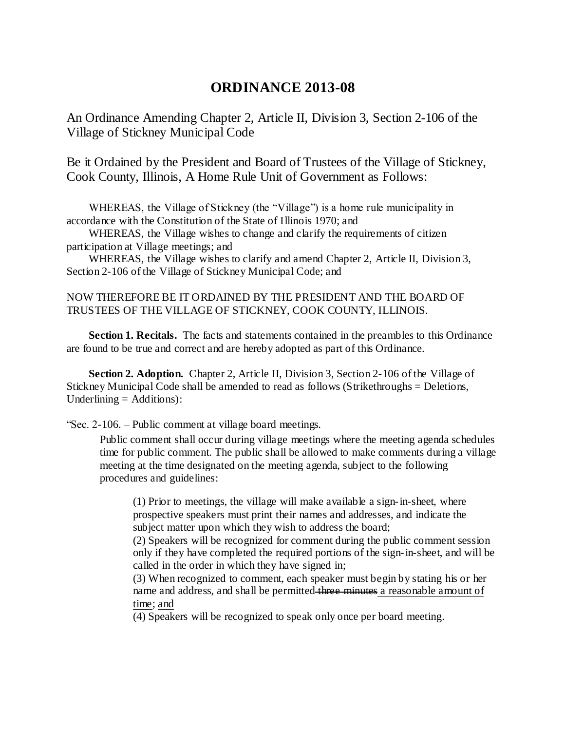## **ORDINANCE 2013-08**

An Ordinance Amending Chapter 2, Article II, Division 3, Section 2-106 of the Village of Stickney Municipal Code

Be it Ordained by the President and Board of Trustees of the Village of Stickney, Cook County, Illinois, A Home Rule Unit of Government as Follows:

 WHEREAS, the Village of Stickney (the "Village") is a home rule municipality in accordance with the Constitution of the State of Illinois 1970; and

 WHEREAS, the Village wishes to change and clarify the requirements of citizen participation at Village meetings; and

 WHEREAS, the Village wishes to clarify and amend Chapter 2, Article II, Division 3, Section 2-106 of the Village of Stickney Municipal Code; and

## NOW THEREFORE BE IT ORDAINED BY THE PRESIDENT AND THE BOARD OF TRUSTEES OF THE VILLAGE OF STICKNEY, COOK COUNTY, ILLINOIS.

 **Section 1. Recitals.** The facts and statements contained in the preambles to this Ordinance are found to be true and correct and are hereby adopted as part of this Ordinance.

**Section 2. Adoption.** Chapter 2, Article II, Division 3, Section 2-106 of the Village of Stickney Municipal Code shall be amended to read as follows (Strikethroughs = Deletions, Underlining = Additions):

"Sec. 2-106. – Public comment at village board meetings.

Public comment shall occur during village meetings where the meeting agenda schedules time for public comment. The public shall be allowed to make comments during a village meeting at the time designated on the meeting agenda, subject to the following procedures and guidelines:

(1) Prior to meetings, the village will make available a sign-in-sheet, where prospective speakers must print their names and addresses, and indicate the subject matter upon which they wish to address the board;

(2) Speakers will be recognized for comment during the public comment session only if they have completed the required portions of the sign-in-sheet, and will be called in the order in which they have signed in;

(3) When recognized to comment, each speaker must begin by stating his or her name and address, and shall be permitted three minutes a reasonable amount of time; and

(4) Speakers will be recognized to speak only once per board meeting.